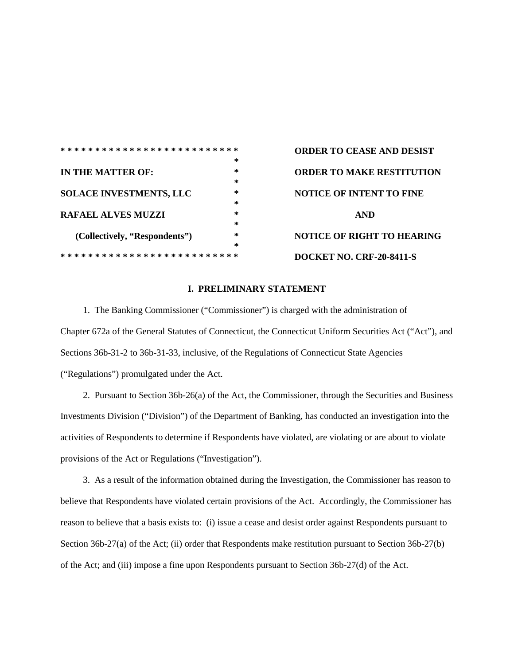|                                |        | <b>ORDER TO CEASE AND DESIST</b> |
|--------------------------------|--------|----------------------------------|
|                                | $\ast$ |                                  |
|                                |        |                                  |
| IN THE MATTER OF:              | $\ast$ | <b>ORDER TO MAKE RESTITUTION</b> |
|                                | ∗      |                                  |
| <b>SOLACE INVESTMENTS, LLC</b> | ∗      | <b>NOTICE OF INTENT TO FINE</b>  |
|                                | *      |                                  |
| <b>RAFAEL ALVES MUZZI</b>      | *      | <b>AND</b>                       |
|                                | ∗      |                                  |
| (Collectively, "Respondents")  | ∗      | NOTICE OF RIGHT TO HEARING       |
|                                | ∗      |                                  |
|                                |        | <b>DOCKET NO. CRF-20-8411-S</b>  |

## **I. PRELIMINARY STATEMENT**

1. The Banking Commissioner ("Commissioner") is charged with the administration of Chapter 672a of the General Statutes of Connecticut, the Connecticut Uniform Securities Act ("Act"), and Sections 36b-31-2 to 36b-31-33, inclusive, of the Regulations of Connecticut State Agencies ("Regulations") promulgated under the Act.

 2. Pursuant to Section 36b-26(a) of the Act, the Commissioner, through the Securities and Business Investments Division ("Division") of the Department of Banking, has conducted an investigation into the activities of Respondents to determine if Respondents have violated, are violating or are about to violate provisions of the Act or Regulations ("Investigation").

 3. As a result of the information obtained during the Investigation, the Commissioner has reason to believe that Respondents have violated certain provisions of the Act. Accordingly, the Commissioner has reason to believe that a basis exists to: (i) issue a cease and desist order against Respondents pursuant to Section 36b-27(a) of the Act; (ii) order that Respondents make restitution pursuant to Section 36b-27(b) of the Act; and (iii) impose a fine upon Respondents pursuant to Section 36b-27(d) of the Act.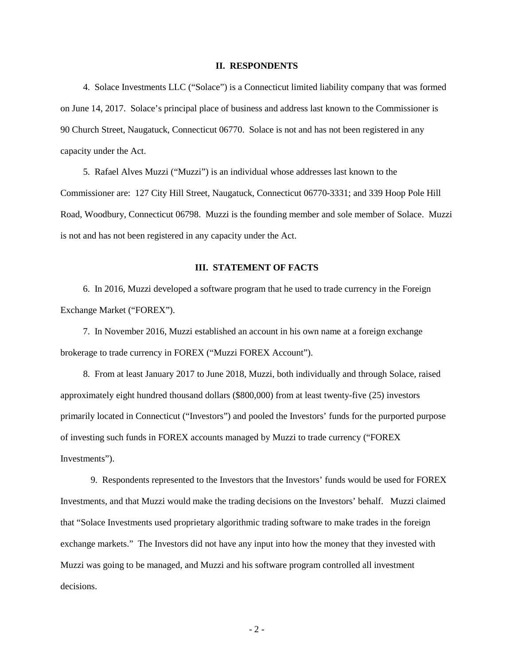#### **II. RESPONDENTS**

 4. Solace Investments LLC ("Solace") is a Connecticut limited liability company that was formed on June 14, 2017. Solace's principal place of business and address last known to the Commissioner is 90 Church Street, Naugatuck, Connecticut 06770. Solace is not and has not been registered in any capacity under the Act.

 5. Rafael Alves Muzzi ("Muzzi") is an individual whose addresses last known to the Commissioner are: 127 City Hill Street, Naugatuck, Connecticut 06770-3331; and 339 Hoop Pole Hill Road, Woodbury, Connecticut 06798. Muzzi is the founding member and sole member of Solace. Muzzi is not and has not been registered in any capacity under the Act.

## **III. STATEMENT OF FACTS**

 6. In 2016, Muzzi developed a software program that he used to trade currency in the Foreign Exchange Market ("FOREX").

 7. In November 2016, Muzzi established an account in his own name at a foreign exchange brokerage to trade currency in FOREX ("Muzzi FOREX Account").

 8. From at least January 2017 to June 2018, Muzzi, both individually and through Solace, raised approximately eight hundred thousand dollars (\$800,000) from at least twenty-five (25) investors primarily located in Connecticut ("Investors") and pooled the Investors' funds for the purported purpose of investing such funds in FOREX accounts managed by Muzzi to trade currency ("FOREX Investments").

 9. Respondents represented to the Investors that the Investors' funds would be used for FOREX Investments, and that Muzzi would make the trading decisions on the Investors' behalf. Muzzi claimed that "Solace Investments used proprietary algorithmic trading software to make trades in the foreign exchange markets." The Investors did not have any input into how the money that they invested with Muzzi was going to be managed, and Muzzi and his software program controlled all investment decisions.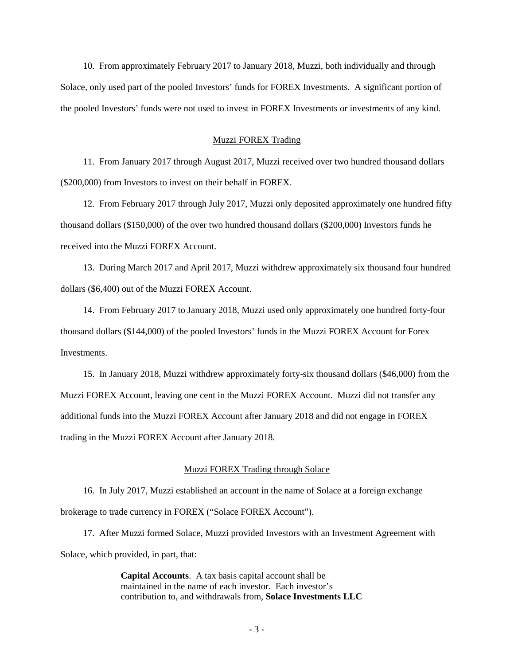10. From approximately February 2017 to January 2018, Muzzi, both individually and through Solace, only used part of the pooled Investors' funds for FOREX Investments. A significant portion of the pooled Investors' funds were not used to invest in FOREX Investments or investments of any kind.

#### Muzzi FOREX Trading

 11. From January 2017 through August 2017, Muzzi received over two hundred thousand dollars (\$200,000) from Investors to invest on their behalf in FOREX.

 12. From February 2017 through July 2017, Muzzi only deposited approximately one hundred fifty thousand dollars (\$150,000) of the over two hundred thousand dollars (\$200,000) Investors funds he received into the Muzzi FOREX Account.

 13. During March 2017 and April 2017, Muzzi withdrew approximately six thousand four hundred dollars (\$6,400) out of the Muzzi FOREX Account.

 14. From February 2017 to January 2018, Muzzi used only approximately one hundred forty-four thousand dollars (\$144,000) of the pooled Investors' funds in the Muzzi FOREX Account for Forex Investments.

 15. In January 2018, Muzzi withdrew approximately forty-six thousand dollars (\$46,000) from the Muzzi FOREX Account, leaving one cent in the Muzzi FOREX Account. Muzzi did not transfer any additional funds into the Muzzi FOREX Account after January 2018 and did not engage in FOREX trading in the Muzzi FOREX Account after January 2018.

#### Muzzi FOREX Trading through Solace

 16. In July 2017, Muzzi established an account in the name of Solace at a foreign exchange brokerage to trade currency in FOREX ("Solace FOREX Account").

 17. After Muzzi formed Solace, Muzzi provided Investors with an Investment Agreement with Solace, which provided, in part, that:

> **Capital Accounts**. A tax basis capital account shall be maintained in the name of each investor. Each investor's contribution to, and withdrawals from, **Solace Investments LLC**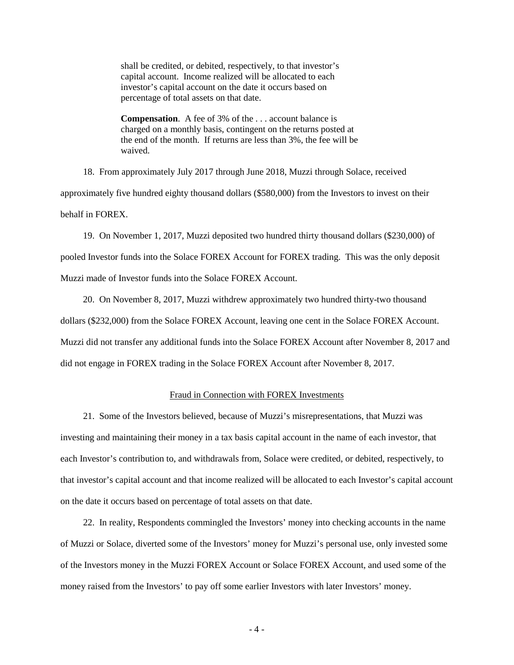shall be credited, or debited, respectively, to that investor's capital account. Income realized will be allocated to each investor's capital account on the date it occurs based on percentage of total assets on that date.

**Compensation**. A fee of 3% of the . . . account balance is charged on a monthly basis, contingent on the returns posted at the end of the month. If returns are less than 3%, the fee will be waived.

 18. From approximately July 2017 through June 2018, Muzzi through Solace, received approximately five hundred eighty thousand dollars (\$580,000) from the Investors to invest on their behalf in FOREX.

 19. On November 1, 2017, Muzzi deposited two hundred thirty thousand dollars (\$230,000) of pooled Investor funds into the Solace FOREX Account for FOREX trading. This was the only deposit Muzzi made of Investor funds into the Solace FOREX Account.

 20. On November 8, 2017, Muzzi withdrew approximately two hundred thirty-two thousand dollars (\$232,000) from the Solace FOREX Account, leaving one cent in the Solace FOREX Account. Muzzi did not transfer any additional funds into the Solace FOREX Account after November 8, 2017 and did not engage in FOREX trading in the Solace FOREX Account after November 8, 2017.

### Fraud in Connection with FOREX Investments

 21. Some of the Investors believed, because of Muzzi's misrepresentations, that Muzzi was investing and maintaining their money in a tax basis capital account in the name of each investor, that each Investor's contribution to, and withdrawals from, Solace were credited, or debited, respectively, to that investor's capital account and that income realized will be allocated to each Investor's capital account on the date it occurs based on percentage of total assets on that date.

 22. In reality, Respondents commingled the Investors' money into checking accounts in the name of Muzzi or Solace, diverted some of the Investors' money for Muzzi's personal use, only invested some of the Investors money in the Muzzi FOREX Account or Solace FOREX Account, and used some of the money raised from the Investors' to pay off some earlier Investors with later Investors' money.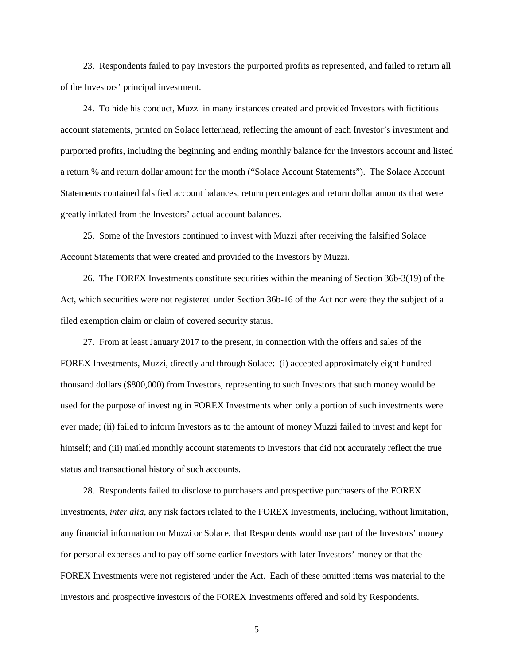23. Respondents failed to pay Investors the purported profits as represented, and failed to return all of the Investors' principal investment.

 24. To hide his conduct, Muzzi in many instances created and provided Investors with fictitious account statements, printed on Solace letterhead, reflecting the amount of each Investor's investment and purported profits, including the beginning and ending monthly balance for the investors account and listed a return % and return dollar amount for the month ("Solace Account Statements"). The Solace Account Statements contained falsified account balances, return percentages and return dollar amounts that were greatly inflated from the Investors' actual account balances.

 25. Some of the Investors continued to invest with Muzzi after receiving the falsified Solace Account Statements that were created and provided to the Investors by Muzzi.

 26. The FOREX Investments constitute securities within the meaning of Section 36b-3(19) of the Act, which securities were not registered under Section 36b-16 of the Act nor were they the subject of a filed exemption claim or claim of covered security status.

 27. From at least January 2017 to the present, in connection with the offers and sales of the FOREX Investments, Muzzi, directly and through Solace: (i) accepted approximately eight hundred thousand dollars (\$800,000) from Investors, representing to such Investors that such money would be used for the purpose of investing in FOREX Investments when only a portion of such investments were ever made; (ii) failed to inform Investors as to the amount of money Muzzi failed to invest and kept for himself; and (iii) mailed monthly account statements to Investors that did not accurately reflect the true status and transactional history of such accounts.

 28. Respondents failed to disclose to purchasers and prospective purchasers of the FOREX Investments, *inter alia*, any risk factors related to the FOREX Investments, including, without limitation, any financial information on Muzzi or Solace, that Respondents would use part of the Investors' money for personal expenses and to pay off some earlier Investors with later Investors' money or that the FOREX Investments were not registered under the Act. Each of these omitted items was material to the Investors and prospective investors of the FOREX Investments offered and sold by Respondents.

- 5 -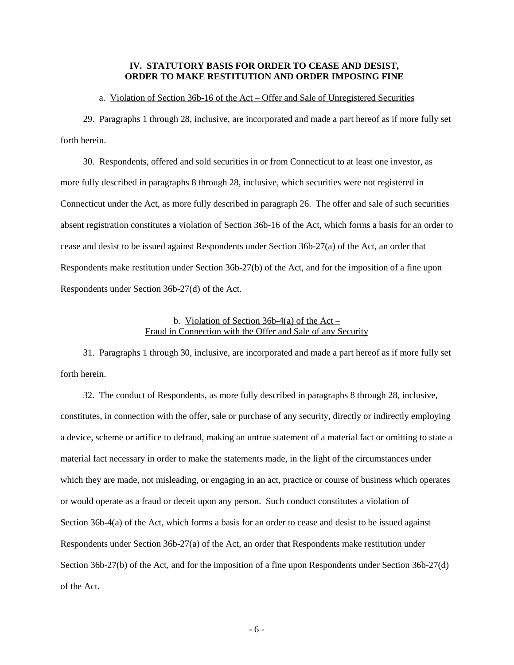### **IV. STATUTORY BASIS FOR ORDER TO CEASE AND DESIST, ORDER TO MAKE RESTITUTION AND ORDER IMPOSING FINE**

#### a. Violation of Section 36b-16 of the Act – Offer and Sale of Unregistered Securities

 29. Paragraphs 1 through 28, inclusive, are incorporated and made a part hereof as if more fully set forth herein.

 30. Respondents, offered and sold securities in or from Connecticut to at least one investor, as more fully described in paragraphs 8 through 28, inclusive, which securities were not registered in Connecticut under the Act, as more fully described in paragraph 26. The offer and sale of such securities absent registration constitutes a violation of Section 36b-16 of the Act, which forms a basis for an order to cease and desist to be issued against Respondents under Section 36b-27(a) of the Act, an order that Respondents make restitution under Section 36b-27(b) of the Act, and for the imposition of a fine upon Respondents under Section 36b-27(d) of the Act.

## b. Violation of Section  $36b-4(a)$  of the Act – Fraud in Connection with the Offer and Sale of any Security

 31. Paragraphs 1 through 30, inclusive, are incorporated and made a part hereof as if more fully set forth herein.

 32. The conduct of Respondents, as more fully described in paragraphs 8 through 28, inclusive, constitutes, in connection with the offer, sale or purchase of any security, directly or indirectly employing a device, scheme or artifice to defraud, making an untrue statement of a material fact or omitting to state a material fact necessary in order to make the statements made, in the light of the circumstances under which they are made, not misleading, or engaging in an act, practice or course of business which operates or would operate as a fraud or deceit upon any person. Such conduct constitutes a violation of Section 36b-4(a) of the Act, which forms a basis for an order to cease and desist to be issued against Respondents under Section 36b-27(a) of the Act, an order that Respondents make restitution under Section 36b-27(b) of the Act, and for the imposition of a fine upon Respondents under Section 36b-27(d) of the Act.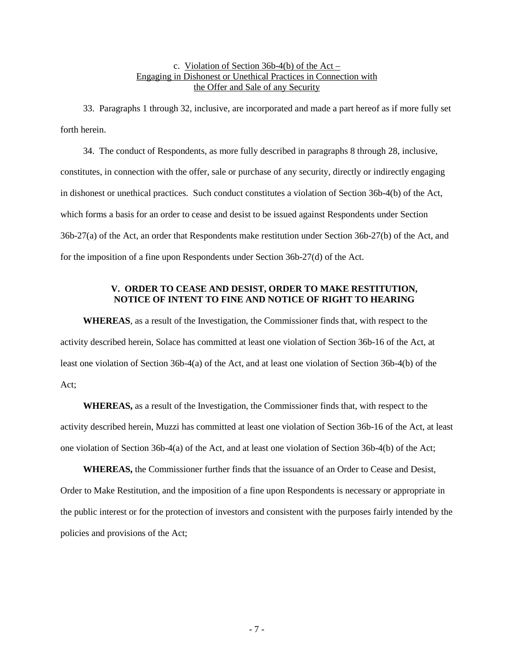# c. Violation of Section 36b-4(b) of the Act – Engaging in Dishonest or Unethical Practices in Connection with the Offer and Sale of any Security

 33. Paragraphs 1 through 32, inclusive, are incorporated and made a part hereof as if more fully set forth herein.

 34. The conduct of Respondents, as more fully described in paragraphs 8 through 28, inclusive, constitutes, in connection with the offer, sale or purchase of any security, directly or indirectly engaging in dishonest or unethical practices. Such conduct constitutes a violation of Section 36b-4(b) of the Act, which forms a basis for an order to cease and desist to be issued against Respondents under Section 36b-27(a) of the Act, an order that Respondents make restitution under Section 36b-27(b) of the Act, and for the imposition of a fine upon Respondents under Section 36b-27(d) of the Act.

# **V. ORDER TO CEASE AND DESIST, ORDER TO MAKE RESTITUTION, NOTICE OF INTENT TO FINE AND NOTICE OF RIGHT TO HEARING**

**WHEREAS**, as a result of the Investigation, the Commissioner finds that, with respect to the activity described herein, Solace has committed at least one violation of Section 36b-16 of the Act, at least one violation of Section 36b-4(a) of the Act, and at least one violation of Section 36b-4(b) of the Act;

**WHEREAS,** as a result of the Investigation, the Commissioner finds that, with respect to the activity described herein, Muzzi has committed at least one violation of Section 36b-16 of the Act, at least one violation of Section 36b-4(a) of the Act, and at least one violation of Section 36b-4(b) of the Act;

**WHEREAS,** the Commissioner further finds that the issuance of an Order to Cease and Desist, Order to Make Restitution, and the imposition of a fine upon Respondents is necessary or appropriate in the public interest or for the protection of investors and consistent with the purposes fairly intended by the policies and provisions of the Act;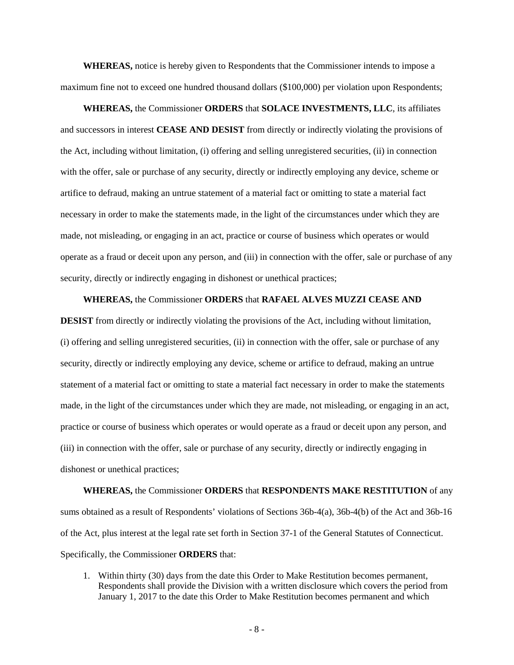**WHEREAS,** notice is hereby given to Respondents that the Commissioner intends to impose a maximum fine not to exceed one hundred thousand dollars (\$100,000) per violation upon Respondents;

**WHEREAS,** the Commissioner **ORDERS** that **SOLACE INVESTMENTS, LLC**, its affiliates and successors in interest **CEASE AND DESIST** from directly or indirectly violating the provisions of the Act, including without limitation, (i) offering and selling unregistered securities, (ii) in connection with the offer, sale or purchase of any security, directly or indirectly employing any device, scheme or artifice to defraud, making an untrue statement of a material fact or omitting to state a material fact necessary in order to make the statements made, in the light of the circumstances under which they are made, not misleading, or engaging in an act, practice or course of business which operates or would operate as a fraud or deceit upon any person, and (iii) in connection with the offer, sale or purchase of any security, directly or indirectly engaging in dishonest or unethical practices;

**WHEREAS,** the Commissioner **ORDERS** that **RAFAEL ALVES MUZZI CEASE AND** 

**DESIST** from directly or indirectly violating the provisions of the Act, including without limitation, (i) offering and selling unregistered securities, (ii) in connection with the offer, sale or purchase of any security, directly or indirectly employing any device, scheme or artifice to defraud, making an untrue statement of a material fact or omitting to state a material fact necessary in order to make the statements made, in the light of the circumstances under which they are made, not misleading, or engaging in an act, practice or course of business which operates or would operate as a fraud or deceit upon any person, and (iii) in connection with the offer, sale or purchase of any security, directly or indirectly engaging in dishonest or unethical practices;

**WHEREAS,** the Commissioner **ORDERS** that **RESPONDENTS MAKE RESTITUTION** of any sums obtained as a result of Respondents' violations of Sections 36b-4(a), 36b-4(b) of the Act and 36b-16 of the Act, plus interest at the legal rate set forth in Section 37-1 of the General Statutes of Connecticut. Specifically, the Commissioner **ORDERS** that:

1. Within thirty (30) days from the date this Order to Make Restitution becomes permanent, Respondents shall provide the Division with a written disclosure which covers the period from January 1, 2017 to the date this Order to Make Restitution becomes permanent and which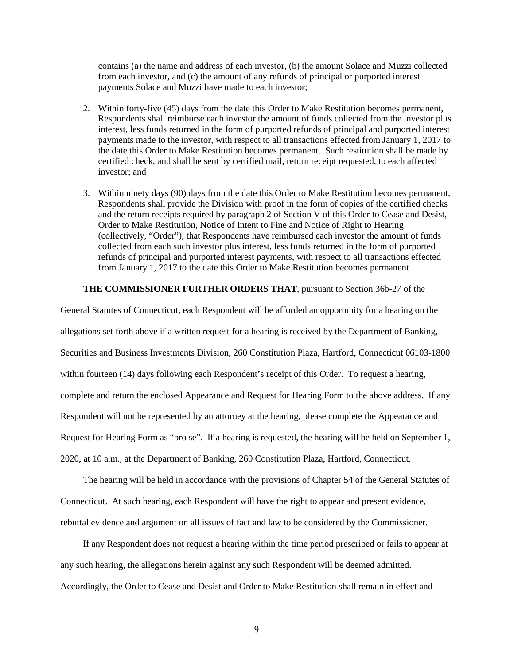contains (a) the name and address of each investor, (b) the amount Solace and Muzzi collected from each investor, and (c) the amount of any refunds of principal or purported interest payments Solace and Muzzi have made to each investor;

- 2. Within forty-five (45) days from the date this Order to Make Restitution becomes permanent, Respondents shall reimburse each investor the amount of funds collected from the investor plus interest, less funds returned in the form of purported refunds of principal and purported interest payments made to the investor, with respect to all transactions effected from January 1, 2017 to the date this Order to Make Restitution becomes permanent. Such restitution shall be made by certified check, and shall be sent by certified mail, return receipt requested, to each affected investor; and
- 3. Within ninety days (90) days from the date this Order to Make Restitution becomes permanent, Respondents shall provide the Division with proof in the form of copies of the certified checks and the return receipts required by paragraph 2 of Section V of this Order to Cease and Desist, Order to Make Restitution, Notice of Intent to Fine and Notice of Right to Hearing (collectively, "Order"), that Respondents have reimbursed each investor the amount of funds collected from each such investor plus interest, less funds returned in the form of purported refunds of principal and purported interest payments, with respect to all transactions effected from January 1, 2017 to the date this Order to Make Restitution becomes permanent.

### **THE COMMISSIONER FURTHER ORDERS THAT**, pursuant to Section 36b-27 of the

General Statutes of Connecticut, each Respondent will be afforded an opportunity for a hearing on the allegations set forth above if a written request for a hearing is received by the Department of Banking, Securities and Business Investments Division, 260 Constitution Plaza, Hartford, Connecticut 06103-1800 within fourteen (14) days following each Respondent's receipt of this Order. To request a hearing, complete and return the enclosed Appearance and Request for Hearing Form to the above address. If any Respondent will not be represented by an attorney at the hearing, please complete the Appearance and Request for Hearing Form as "pro se". If a hearing is requested, the hearing will be held on September 1, 2020, at 10 a.m., at the Department of Banking, 260 Constitution Plaza, Hartford, Connecticut.

 The hearing will be held in accordance with the provisions of Chapter 54 of the General Statutes of Connecticut. At such hearing, each Respondent will have the right to appear and present evidence, rebuttal evidence and argument on all issues of fact and law to be considered by the Commissioner.

 If any Respondent does not request a hearing within the time period prescribed or fails to appear at any such hearing, the allegations herein against any such Respondent will be deemed admitted. Accordingly, the Order to Cease and Desist and Order to Make Restitution shall remain in effect and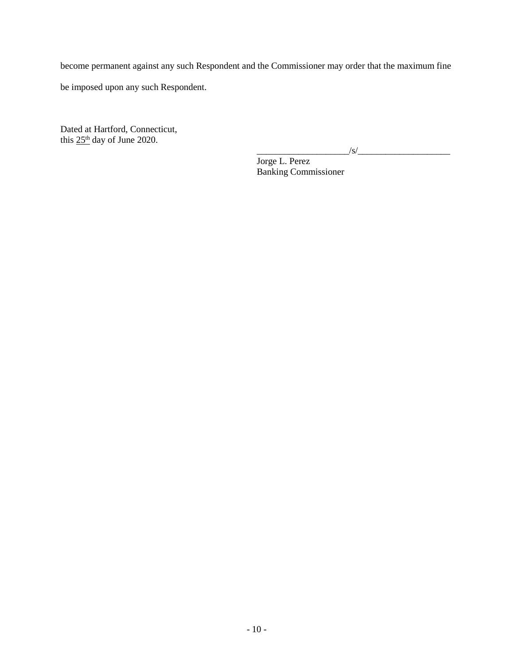become permanent against any such Respondent and the Commissioner may order that the maximum fine

be imposed upon any such Respondent.

Dated at Hartford, Connecticut, this  $25<sup>th</sup>$  day of June 2020.

 $\sqrt{s}$ /

Jorge L. Perez Banking Commissioner